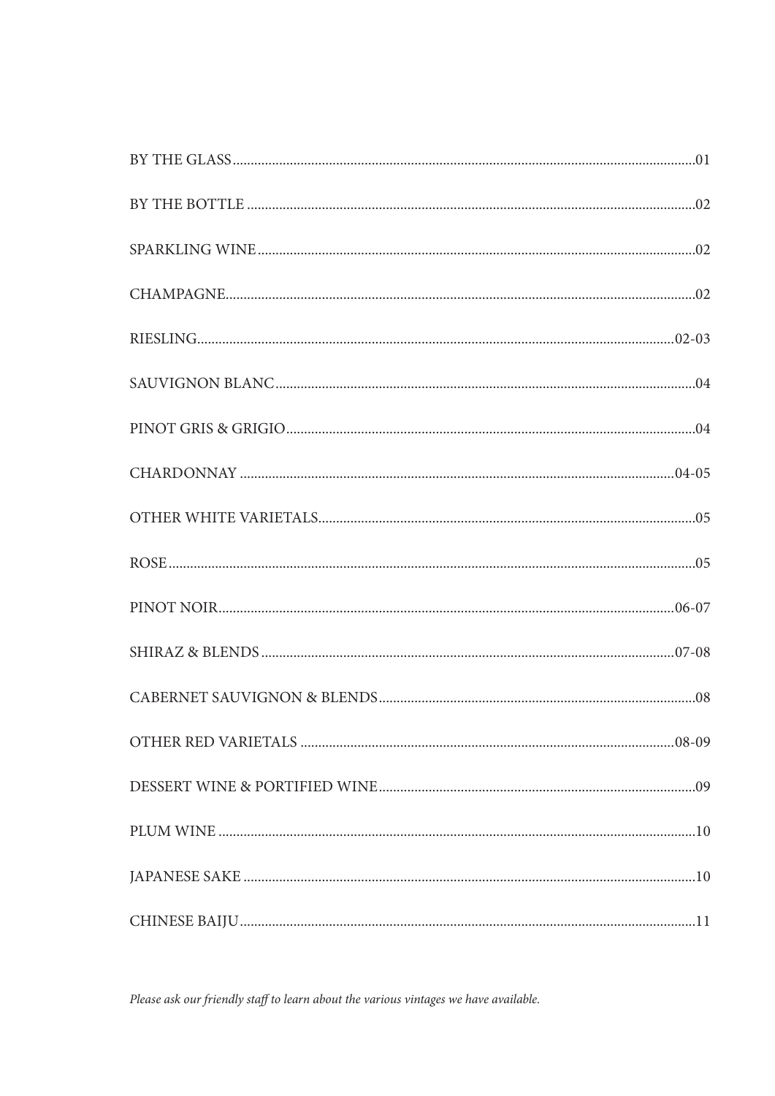Please ask our friendly staff to learn about the various vintages we have available.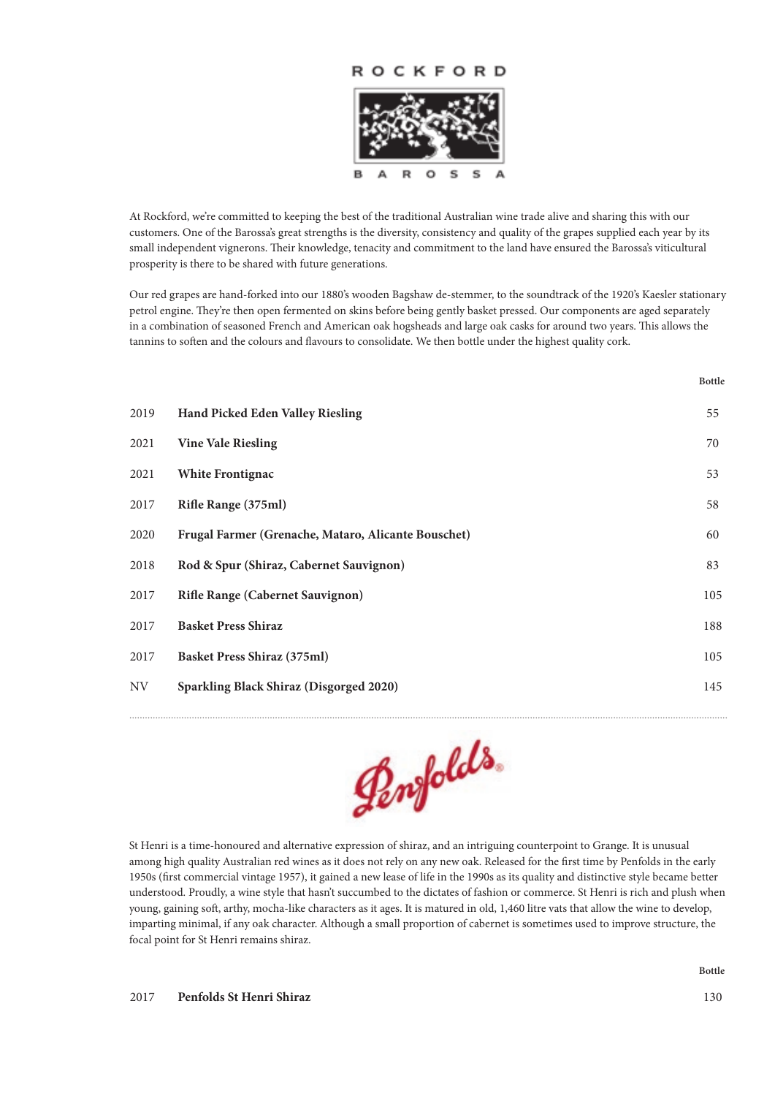

At Rockford, we're committed to keeping the best of the traditional Australian wine trade alive and sharing this with our customers. One of the Barossa's great strengths is the diversity, consistency and quality of the grapes supplied each year by its small independent vignerons. Their knowledge, tenacity and commitment to the land have ensured the Barossa's viticultural prosperity is there to be shared with future generations.

Our red grapes are hand-forked into our 1880's wooden Bagshaw de-stemmer, to the soundtrack of the 1920's Kaesler stationary petrol engine. They're then open fermented on skins before being gently basket pressed. Our components are aged separately in a combination of seasoned French and American oak hogsheads and large oak casks for around two years. This allows the tannins to soften and the colours and flavours to consolidate. We then bottle under the highest quality cork.

| 2019 | Hand Picked Eden Valley Riesling                    | 55  |
|------|-----------------------------------------------------|-----|
| 2021 | <b>Vine Vale Riesling</b>                           | 70  |
| 2021 | <b>White Frontignac</b>                             | 53  |
| 2017 | Rifle Range (375ml)                                 | 58  |
| 2020 | Frugal Farmer (Grenache, Mataro, Alicante Bouschet) | 60  |
| 2018 | Rod & Spur (Shiraz, Cabernet Sauvignon)             | 83  |
| 2017 | <b>Rifle Range (Cabernet Sauvignon)</b>             | 105 |
| 2017 | <b>Basket Press Shiraz</b>                          | 188 |
| 2017 | <b>Basket Press Shiraz (375ml)</b>                  | 105 |
| NV   | Sparkling Black Shiraz (Disgorged 2020)             | 145 |



St Henri is a time-honoured and alternative expression of shiraz, and an intriguing counterpoint to Grange. It is unusual among high quality Australian red wines as it does not rely on any new oak. Released for the first time by Penfolds in the early 1950s (first commercial vintage 1957), it gained a new lease of life in the 1990s as its quality and distinctive style became better understood. Proudly, a wine style that hasn't succumbed to the dictates of fashion or commerce. St Henri is rich and plush when young, gaining soft, arthy, mocha-like characters as it ages. It is matured in old, 1,460 litre vats that allow the wine to develop, imparting minimal, if any oak character. Although a small proportion of cabernet is sometimes used to improve structure, the focal point for St Henri remains shiraz.

**Bottle**

**Bottle**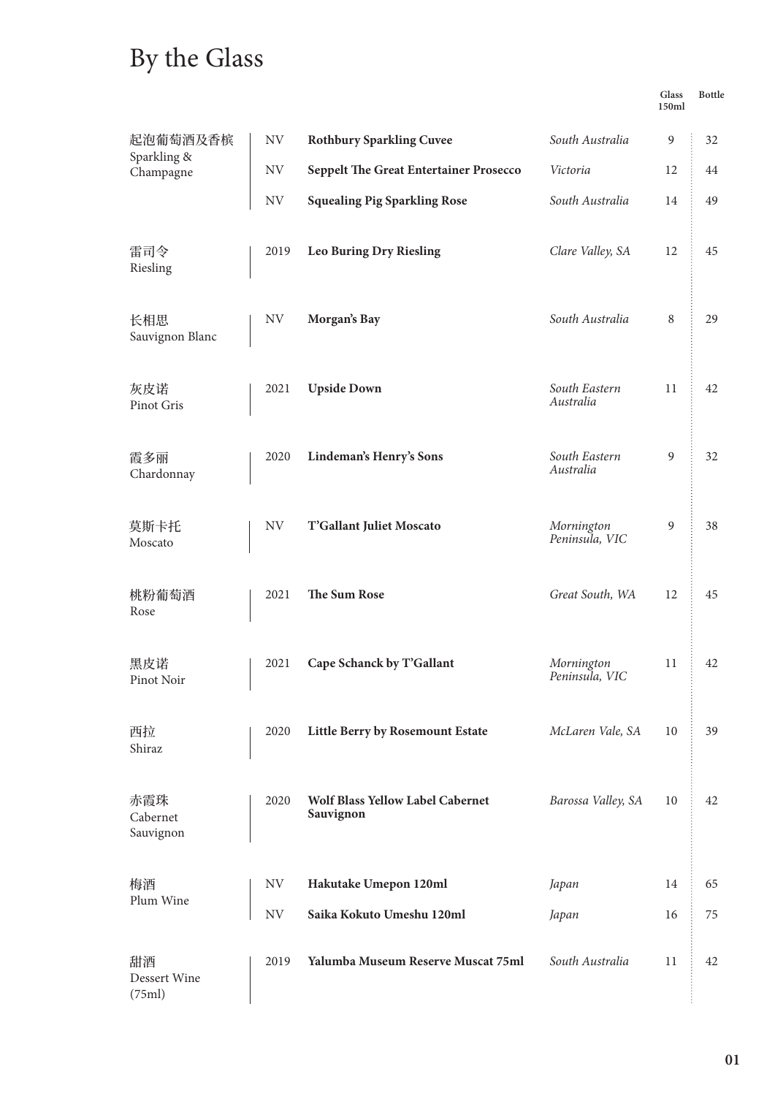# By the Glass

| Glass | <b>Bottle</b> |
|-------|---------------|
| 150ml |               |

| 起泡葡萄酒及香槟<br>Sparkling &      | NV        | <b>Rothbury Sparkling Cuvee</b>               | South Australia              | 9  | 32 |
|------------------------------|-----------|-----------------------------------------------|------------------------------|----|----|
| Champagne                    | NV        | <b>Seppelt The Great Entertainer Prosecco</b> | Victoria                     | 12 | 44 |
|                              | NV        | <b>Squealing Pig Sparkling Rose</b>           | South Australia              | 14 | 49 |
| 雷司令<br>Riesling              | 2019      | <b>Leo Buring Dry Riesling</b>                | Clare Valley, SA             | 12 | 45 |
| 长相思<br>Sauvignon Blanc       | NV        | Morgan's Bay                                  | South Australia              | 8  | 29 |
| 灰皮诺<br>Pinot Gris            | 2021      | <b>Upside Down</b>                            | South Eastern<br>Australia   | 11 | 42 |
| 霞多丽<br>Chardonnay            | 2020      | Lindeman's Henry's Sons                       | South Eastern<br>Australia   | 9  | 32 |
| 莫斯卡托<br>Moscato              | <b>NV</b> | T'Gallant Juliet Moscato                      | Mornington<br>Peninsula, VIC | 9  | 38 |
| 桃粉葡萄酒<br>Rose                | 2021      | The Sum Rose                                  | Great South, WA              | 12 | 45 |
| 黑皮诺<br>Pinot Noir            | 2021      | Cape Schanck by T'Gallant                     | Mornington<br>Peninsula, VIC | 11 | 42 |
| 西拉<br>Shiraz                 | 2020      | Little Berry by Rosemount Estate              | McLaren Vale, SA             | 10 | 39 |
| 赤霞珠<br>Cabernet<br>Sauvignon | 2020      | Wolf Blass Yellow Label Cabernet<br>Sauvignon | Barossa Valley, SA           | 10 | 42 |
| 梅酒                           | NV        | Hakutake Umepon 120ml                         | Japan                        | 14 | 65 |
| Plum Wine                    | NV        | Saika Kokuto Umeshu 120ml                     | Japan                        | 16 | 75 |
| 甜酒<br>Dessert Wine<br>(75ml) | 2019      | Yalumba Museum Reserve Muscat 75ml            | South Australia              | 11 | 42 |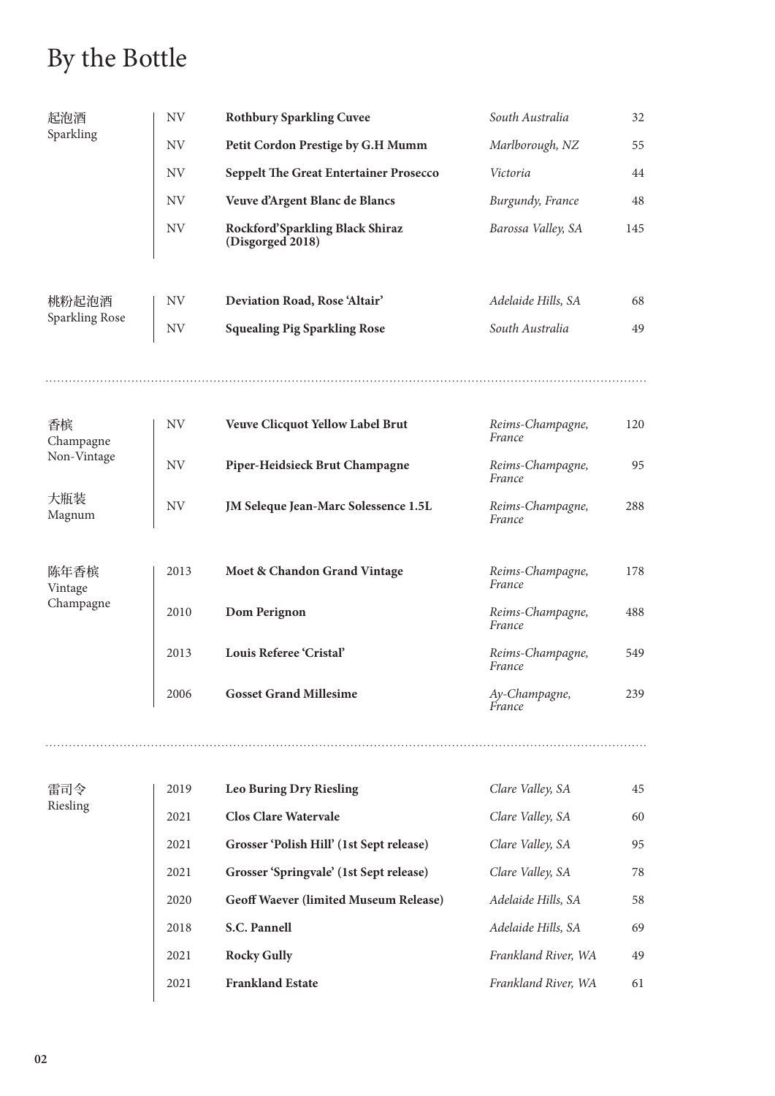# By the Bottle

| 起泡酒             | <b>NV</b> | <b>Rothbury Sparkling Cuvee</b>                     | South Australia            | 32  |
|-----------------|-----------|-----------------------------------------------------|----------------------------|-----|
| Sparkling       | <b>NV</b> | Petit Cordon Prestige by G.H Mumm                   | Marlborough, NZ            | 55  |
|                 | <b>NV</b> | <b>Seppelt The Great Entertainer Prosecco</b>       | Victoria                   | 44  |
|                 | <b>NV</b> | Veuve d'Argent Blanc de Blancs                      | Burgundy, France           | 48  |
|                 | <b>NV</b> | Rockford'Sparkling Black Shiraz<br>(Disgorged 2018) | Barossa Valley, SA         | 145 |
| 桃粉起泡酒           | <b>NV</b> | Deviation Road, Rose 'Altair'                       | Adelaide Hills, SA         | 68  |
| Sparkling Rose  | <b>NV</b> | <b>Squealing Pig Sparkling Rose</b>                 | South Australia            | 49  |
|                 |           |                                                     |                            |     |
| 香槟<br>Champagne | <b>NV</b> | <b>Veuve Clicquot Yellow Label Brut</b>             | Reims-Champagne,<br>France | 120 |
| Non-Vintage     | <b>NV</b> | Piper-Heidsieck Brut Champagne                      | Reims-Champagne,<br>France | 95  |
| 大瓶装<br>Magnum   | <b>NV</b> | JM Seleque Jean-Marc Solessence 1.5L                | Reims-Champagne,<br>France | 288 |
| 陈年香槟<br>Vintage | 2013      | Moet & Chandon Grand Vintage                        | Reims-Champagne,<br>France | 178 |
| Champagne       | 2010      | Dom Perignon                                        | Reims-Champagne,<br>France | 488 |
|                 | 2013      | Louis Referee 'Cristal'                             | Reims-Champagne,<br>France | 549 |
|                 | 2006      | <b>Gosset Grand Millesime</b>                       | Ay-Champagne,<br>France    | 239 |
|                 |           |                                                     |                            |     |
| 雷司令             | 2019      | <b>Leo Buring Dry Riesling</b>                      | Clare Valley, SA           | 45  |
| Riesling        | 2021      | <b>Clos Clare Watervale</b>                         | Clare Valley, SA           | 60  |
|                 | 2021      | Grosser 'Polish Hill' (1st Sept release)            | Clare Valley, SA           | 95  |
|                 | 2021      | Grosser 'Springvale' (1st Sept release)             | Clare Valley, SA           | 78  |
|                 | 2020      | <b>Geoff Waever (limited Museum Release)</b>        | Adelaide Hills, SA         | 58  |
|                 | 2018      | S.C. Pannell                                        | Adelaide Hills, SA         | 69  |
|                 | 2021      | <b>Rocky Gully</b>                                  | Frankland River, WA        | 49  |

2021 **Frankland Estate** *Frankland River, WA* 61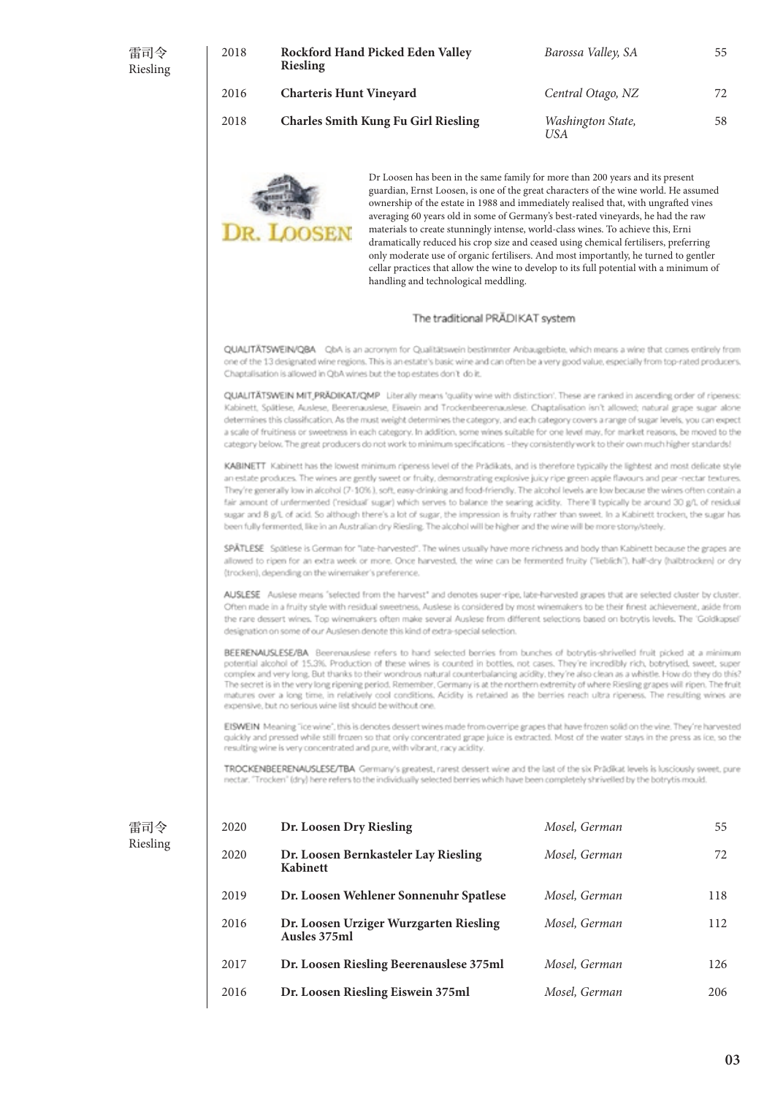| 雷司令<br>Riesling | 2018 | Rockford Hand Picked Eden Valley<br><b>Riesling</b> | Barossa Valley, SA              | 55 |
|-----------------|------|-----------------------------------------------------|---------------------------------|----|
|                 | 2016 | <b>Charteris Hunt Vineyard</b>                      | Central Otago, NZ               | 72 |
|                 | 2018 | <b>Charles Smith Kung Fu Girl Riesling</b>          | Washington State,<br><b>USA</b> | 58 |
|                 |      |                                                     |                                 |    |



Dr Loosen has been in the same family for more than 200 years and its present guardian, Ernst Loosen, is one of the great characters of the wine world. He assumed ownership of the estate in 1988 and immediately realised that, with ungrafted vines averaging 60 years old in some of Germany's best-rated vineyards, he had the raw materials to create stunningly intense, world-class wines. To achieve this, Erni dramatically reduced his crop size and ceased using chemical fertilisers, preferring only moderate use of organic fertilisers. And most importantly, he turned to gentler cellar practices that allow the wine to develop to its full potential with a minimum of handling and technological meddling.

#### The traditional PRÄDIKAT system

QUALITÄTSWEIN/QBA QbA is an acronym for Qualitätswein bestimmter Anbaugebiete, which means a wine that comes entirely from one of the 13 designated wine regions. This is an estate's basic wine and can often be a very good value, especially from top-rated producers. Chaptalisation is allowed in ObA wines but the top estates don't do it.

OUALITÄTSWEIN MIT PRÄDIKAT/OMP Liberally means 'ouality wine with distinction'. These are ranked in ascending order of ripeness: Kabinett, Spätlese, Auslese, Beerenauslese, Eiswein and Trockenbeerenauslese. Chaptalisation isn't allowed; natural grape sugar alone determines this classification. As the must weight determines the category, and each category covers a range of sugar levels, you can expect a scale of fruitiness or sweetness in each cabagory. In addition, some wines suitable for one level may, for market reasons, be moved to the category below. The great producers do not work to minimum specifications - they consistently work to their own much higher standards!

KABINETT Kabinett has the lowest minimum ripeness level of the Prädikats, and is therefore typically the lightest and most delicate style an estate produces. The wines are gently sweet or fruity, demonstrating explosive juicy ripe green apple flavours and pear-nectar textures. They're generally low in alcohol (7-10%), soft, easy-drinking and food-friendly. The alcohol levels are low because the wines often contain a fair amount of unfermented ('residual' sugar) which serves to balance the searing acidity. There'll typically be around 30 g/L of residual sugar and 8 g/L of acid. So although there's a lot of sugar, the impression is fruity rather than sweet. In a Kabinett trocken, the sugar has been fully fermented, like in an Australian dry Riesling. The alcohol will be higher and the wine will be more storwisteely.

SPÄTLESE Spätlese is German for "late-harvested". The wines usually have more richness and body than Kabinett because the grapes are allowed to ripen for an extra week or more. Once harvested, the wine can be fermented fruity ("lieblich"), half-dry (halbtrocken) or dry (trocken), depending on the winemaker's preference.

AUSLESE Auslese means "selected from the harvest" and denotes super-ripe, labe-harvested grapes that are selected cluster by cluster. Often made in a fruity style with residual sweetness, Auslese is considered by most winemakers to be their finest achievement, aside from the rare dessert wines. Too winemakers often make several Auslese from different selections based on botrytis levels. The 'Goldkapsel' designation on some of our Auslesen denote this kind of extra-special selection.

BEERENAUSLESE/BA Beerenauslese refers to hand selected berries from bunches of botrytis-shrivelled fruit picked at a minimum potential alcohol of 15.3%. Production of these wines is counted in bottles, not cases. They're incredibly rich, botrytised, sweet, super complex and very long. But thanks to their wondrous natural counterbalancing acidity, they're also clean as a whistle. How do they do this? The secret is in the very long ripening period. Remember, Germany is at the northern extremity of where Riesling grapes will ripen. The fruit matures over a long time, in relatively cool conditions. Acidity is retained as the berries reach ultra ripeness. The resulting wines are expensive, but no serious wine list should be without one.

EISWEIN Meaning "ice wine", this is denotes dessert wines made from overripe grapes that have frozen solid on the vine. They're harvested quickly and pressed while still frozen so that only concentrated grape juice is extracted. Most of the water stays in the press as ice, so the resulting wine is very concentrated and pure, with vibrant, racy acidity

TROCKENBEERENAUSLESE/TBA Germany's greatest, rarest dessert wine and the last of the six Prädikat levels is lusciously sweet, pure nectar. "Trocken" (dry) here refers to the individually selected berries which have been completely shrivelled by the botrytis mould.

| 国之<br>曲  |  |
|----------|--|
| Riesling |  |

| 2020 | Dr. Loosen Dry Riesling                                 | Mosel, German | 55  |
|------|---------------------------------------------------------|---------------|-----|
| 2020 | Dr. Loosen Bernkasteler Lay Riesling<br><b>Kabinett</b> | Mosel, German | 72  |
| 2019 | Dr. Loosen Wehlener Sonnenuhr Spatlese                  | Mosel, German | 118 |
| 2016 | Dr. Loosen Urziger Wurzgarten Riesling<br>Ausles 375ml  | Mosel, German | 112 |
| 2017 | Dr. Loosen Riesling Beerenauslese 375ml                 | Mosel, German | 126 |
| 2016 | Dr. Loosen Riesling Eiswein 375ml                       | Mosel, German | 206 |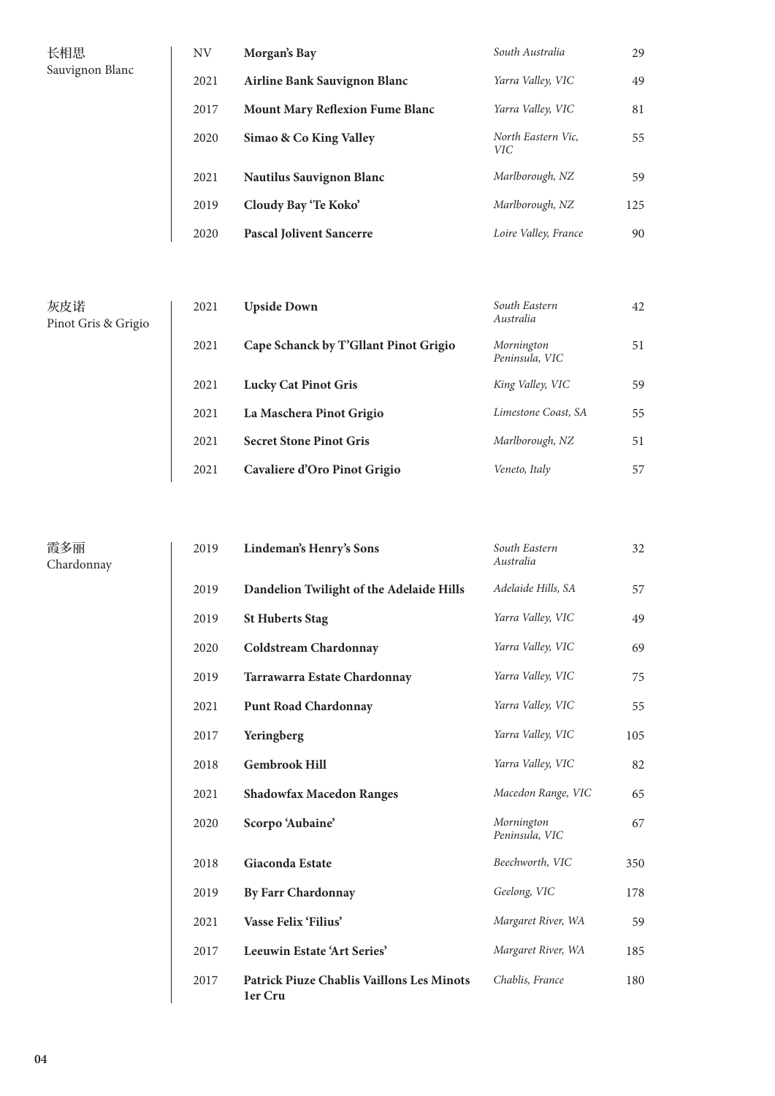| 长相思             | NV   | Morgan's Bay                           | South Australia                  | 29  |
|-----------------|------|----------------------------------------|----------------------------------|-----|
| Sauvignon Blanc | 2021 | Airline Bank Sauvignon Blanc           | Yarra Valley, VIC                | 49  |
|                 | 2017 | <b>Mount Mary Reflexion Fume Blanc</b> | Yarra Valley, VIC                | 81  |
|                 | 2020 | Simao & Co King Valley                 | North Eastern Vic,<br><b>VIC</b> | 55  |
|                 | 2021 | <b>Nautilus Sauvignon Blanc</b>        | Marlborough, NZ                  | 59  |
|                 | 2019 | Cloudy Bay 'Te Koko'                   | Marlborough, NZ                  | 125 |
|                 | 2020 | <b>Pascal Jolivent Sancerre</b>        | Loire Valley, France             | 90  |

| 2021 | <b>Upside Down</b>                    | South Eastern<br>Australia   | 42 |
|------|---------------------------------------|------------------------------|----|
| 2021 | Cape Schanck by T'Gllant Pinot Grigio | Mornington<br>Peninsula, VIC | 51 |
| 2021 | <b>Lucky Cat Pinot Gris</b>           | King Valley, VIC             | 59 |
| 2021 | La Maschera Pinot Grigio              | Limestone Coast, SA          | 55 |
| 2021 | <b>Secret Stone Pinot Gris</b>        | Marlborough, NZ              | 51 |
| 2021 | Cavaliere d'Oro Pinot Grigio          | Veneto, Italy                | 57 |

霞多丽 Chardonnay

灰皮诺

Pinot Gris & Grigio

| 2019 | Lindeman's Henry's Sons                                     | South Eastern<br>Australia   | 32  |
|------|-------------------------------------------------------------|------------------------------|-----|
| 2019 | Dandelion Twilight of the Adelaide Hills                    | Adelaide Hills, SA           | 57  |
| 2019 | <b>St Huberts Stag</b>                                      | Yarra Valley, VIC            | 49  |
| 2020 | <b>Coldstream Chardonnay</b>                                | Yarra Valley, VIC            | 69  |
| 2019 | Tarrawarra Estate Chardonnay                                | Yarra Valley, VIC            | 75  |
| 2021 | <b>Punt Road Chardonnay</b>                                 | Yarra Valley, VIC            | 55  |
| 2017 | Yeringberg                                                  | Yarra Valley, VIC            | 105 |
| 2018 | <b>Gembrook Hill</b>                                        | Yarra Valley, VIC            | 82  |
| 2021 | <b>Shadowfax Macedon Ranges</b>                             | Macedon Range, VIC           | 65  |
| 2020 | Scorpo 'Aubaine'                                            | Mornington<br>Peninsula, VIC | 67  |
| 2018 | <b>Giaconda Estate</b>                                      | Beechworth, VIC              | 350 |
| 2019 | <b>By Farr Chardonnay</b>                                   | Geelong, VIC                 | 178 |
| 2021 | Vasse Felix 'Filius'                                        | Margaret River, WA           | 59  |
| 2017 | Leeuwin Estate 'Art Series'                                 | Margaret River, WA           | 185 |
| 2017 | <b>Patrick Piuze Chablis Vaillons Les Minots</b><br>1er Cru | Chablis, France              | 180 |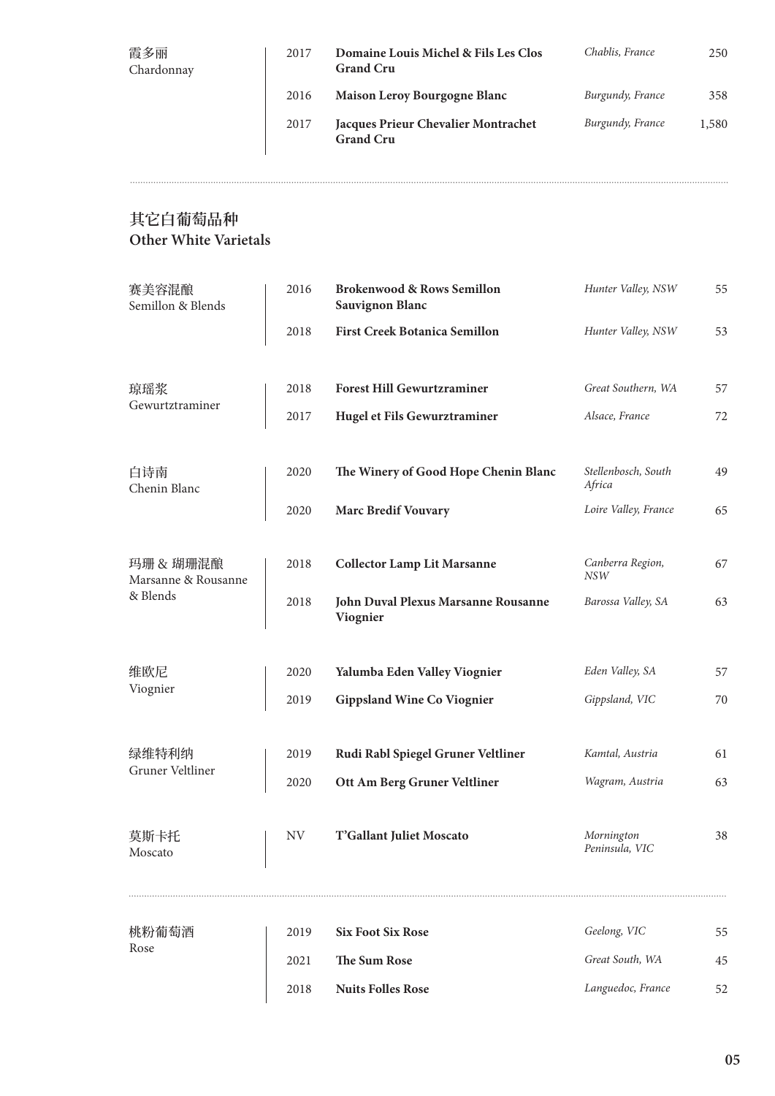| 霞多丽<br>Chardonnay | 2017 | Domaine Louis Michel & Fils Les Clos<br><b>Grand Cru</b> | Chablis, France  | 250   |
|-------------------|------|----------------------------------------------------------|------------------|-------|
|                   | 2016 | Maison Leroy Bourgogne Blanc                             | Burgundy, France | 358   |
|                   | 2017 | Jacques Prieur Chevalier Montrachet<br><b>Grand Cru</b>  | Burgundy, France | 1,580 |

### **其它白葡萄品种 Other White Varietals**

| 赛美容混酿<br>Semillon & Blends       | 2016      | <b>Brokenwood &amp; Rows Semillon</b><br><b>Sauvignon Blanc</b> | Hunter Valley, NSW             | 55 |
|----------------------------------|-----------|-----------------------------------------------------------------|--------------------------------|----|
|                                  | 2018      | <b>First Creek Botanica Semillon</b>                            | Hunter Valley, NSW             | 53 |
| 琼瑶浆                              | 2018      | <b>Forest Hill Gewurtzraminer</b>                               | Great Southern, WA             | 57 |
| Gewurtztraminer                  | 2017      | Hugel et Fils Gewurztraminer                                    | Alsace, France                 | 72 |
| 白诗南<br>Chenin Blanc              | 2020      | The Winery of Good Hope Chenin Blanc                            | Stellenbosch, South<br>Africa  | 49 |
|                                  | 2020      | <b>Marc Bredif Vouvary</b>                                      | Loire Valley, France           | 65 |
| 玛珊 & 瑚珊混酿<br>Marsanne & Rousanne | 2018      | <b>Collector Lamp Lit Marsanne</b>                              | Canberra Region,<br><b>NSW</b> | 67 |
| & Blends                         | 2018      | John Duval Plexus Marsanne Rousanne<br>Viognier                 | Barossa Valley, SA             | 63 |
| 维欧尼                              | 2020      | Yalumba Eden Valley Viognier                                    | Eden Valley, SA                | 57 |
| Viognier                         | 2019      | <b>Gippsland Wine Co Viognier</b>                               | Gippsland, VIC                 | 70 |
| 绿维特利纳<br>Gruner Veltliner        | 2019      | Rudi Rabl Spiegel Gruner Veltliner                              | Kamtal, Austria                | 61 |
|                                  | 2020      | Ott Am Berg Gruner Veltliner                                    | Wagram, Austria                | 63 |
| 莫斯卡托<br>Moscato                  | <b>NV</b> | T'Gallant Juliet Moscato                                        | Mornington<br>Peninsula, VIC   | 38 |
| 桃粉葡萄酒                            | 2019      | <b>Six Foot Six Rose</b>                                        | Geelong, VIC                   | 55 |
| Rose                             | 2021      | <b>The Sum Rose</b>                                             | Great South, WA                | 45 |
|                                  | 2018      | <b>Nuits Folles Rose</b>                                        | Languedoc, France              | 52 |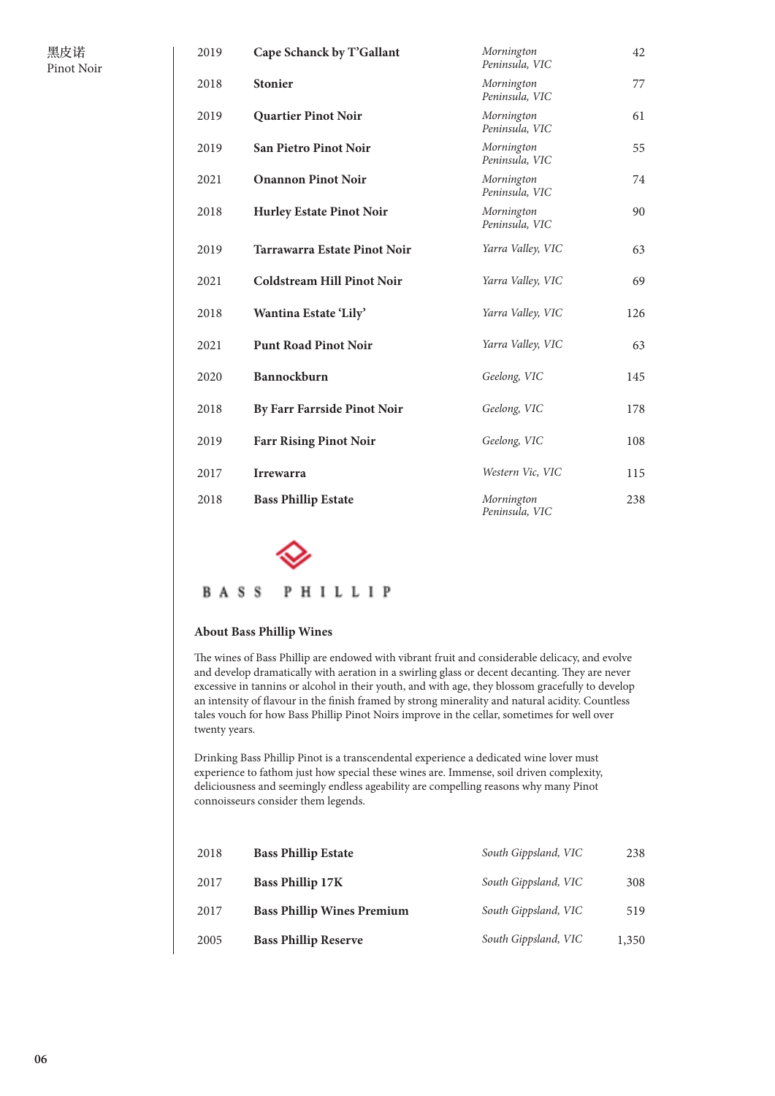| 2019 | Cape Schanck by T'Gallant         | Mornington<br>Peninsula, VIC | 42  |
|------|-----------------------------------|------------------------------|-----|
| 2018 | <b>Stonier</b>                    | Mornington<br>Peninsula, VIC | 77  |
| 2019 | <b>Quartier Pinot Noir</b>        | Mornington<br>Peninsula, VIC | 61  |
| 2019 | <b>San Pietro Pinot Noir</b>      | Mornington<br>Peninsula, VIC | 55  |
| 2021 | <b>Onannon Pinot Noir</b>         | Mornington<br>Peninsula, VIC | 74  |
| 2018 | <b>Hurley Estate Pinot Noir</b>   | Mornington<br>Peninsula, VIC | 90  |
| 2019 | Tarrawarra Estate Pinot Noir      | Yarra Valley, VIC            | 63  |
| 2021 | <b>Coldstream Hill Pinot Noir</b> | Yarra Valley, VIC            | 69  |
| 2018 | Wantina Estate 'Lily'             | Yarra Valley, VIC            | 126 |
| 2021 | <b>Punt Road Pinot Noir</b>       | Yarra Valley, VIC            | 63  |
| 2020 | Bannockburn                       | Geelong, VIC                 | 145 |
| 2018 | By Farr Farrside Pinot Noir       | Geelong, VIC                 | 178 |
| 2019 | <b>Farr Rising Pinot Noir</b>     | Geelong, VIC                 | 108 |
| 2017 | <b>Irrewarra</b>                  | Western Vic, VIC             | 115 |
| 2018 | <b>Bass Phillip Estate</b>        | Mornington<br>Peninsula, VIC | 238 |



#### **BASS** PHILLIP

### **About Bass Phillip Wines**

The wines of Bass Phillip are endowed with vibrant fruit and considerable delicacy, and evolve and develop dramatically with aeration in a swirling glass or decent decanting. They are never excessive in tannins or alcohol in their youth, and with age, they blossom gracefully to develop an intensity of flavour in the finish framed by strong minerality and natural acidity. Countless tales vouch for how Bass Phillip Pinot Noirs improve in the cellar, sometimes for well over twenty years.

Drinking Bass Phillip Pinot is a transcendental experience a dedicated wine lover must experience to fathom just how special these wines are. Immense, soil driven complexity, deliciousness and seemingly endless ageability are compelling reasons why many Pinot connoisseurs consider them legends.

| 2018 | <b>Bass Phillip Estate</b>        | South Gippsland, VIC | 238   |
|------|-----------------------------------|----------------------|-------|
| 2017 | <b>Bass Phillip 17K</b>           | South Gippsland, VIC | 308   |
| 2017 | <b>Bass Phillip Wines Premium</b> | South Gippsland, VIC | 519   |
| 2005 | <b>Bass Phillip Reserve</b>       | South Gippsland, VIC | 1,350 |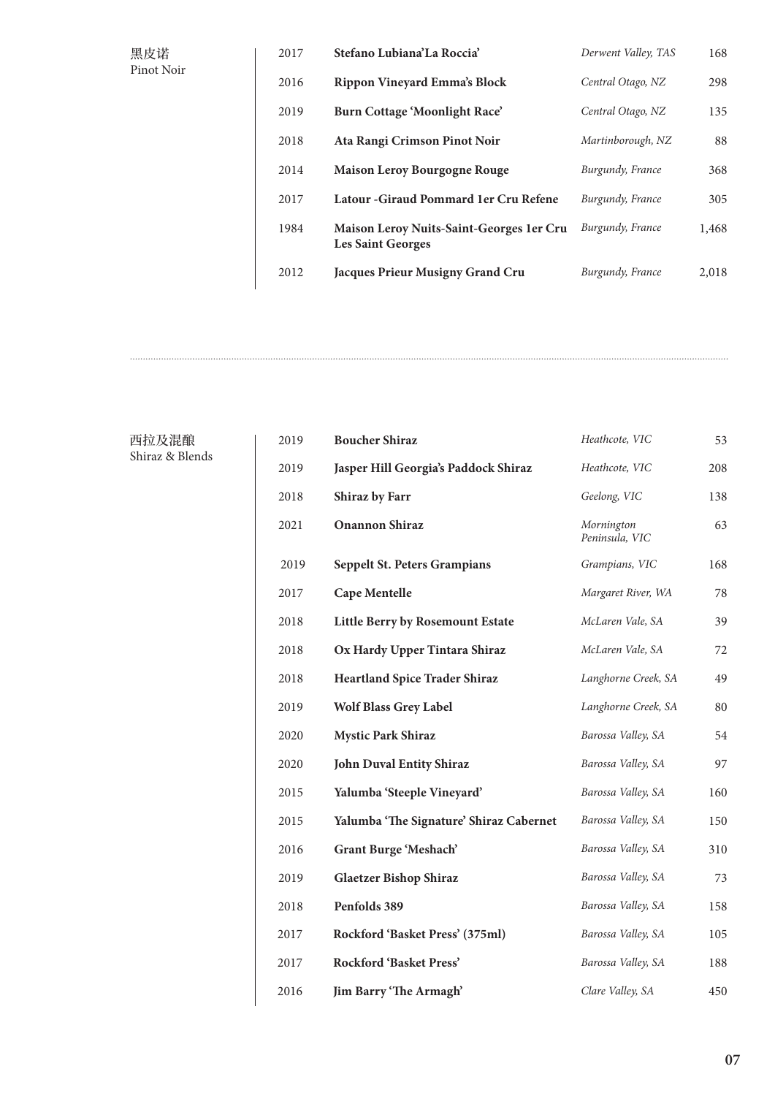| 黑皮诺<br>Pinot Noir | 2017 | Stefano Lubiana'La Roccia'                                            | Derwent Valley, TAS | 168   |
|-------------------|------|-----------------------------------------------------------------------|---------------------|-------|
|                   | 2016 | Rippon Vineyard Emma's Block                                          | Central Otago, NZ   | 298   |
|                   | 2019 | Burn Cottage 'Moonlight Race'                                         | Central Otago, NZ   | 135   |
|                   | 2018 | Ata Rangi Crimson Pinot Noir                                          | Martinborough, NZ   | 88    |
|                   | 2014 | <b>Maison Leroy Bourgogne Rouge</b>                                   | Burgundy, France    | 368   |
|                   | 2017 | Latour - Giraud Pommard 1 er Cru Refene                               | Burgundy, France    | 305   |
|                   | 1984 | Maison Leroy Nuits-Saint-Georges 1 er Cru<br><b>Les Saint Georges</b> | Burgundy, France    | 1,468 |
|                   | 2012 | <b>Jacques Prieur Musigny Grand Cru</b>                               | Burgundy, France    | 2,018 |
|                   |      |                                                                       |                     |       |

西拉及混酿 Shiraz & Blends

| 208 |
|-----|
| 138 |
| 63  |
| 168 |
| 78  |
| 39  |
| 72  |
| 49  |
| 80  |
| 54  |
| 97  |
| 160 |
| 150 |
| 310 |
| 73  |
| 158 |
| 105 |
| 188 |
| 450 |
|     |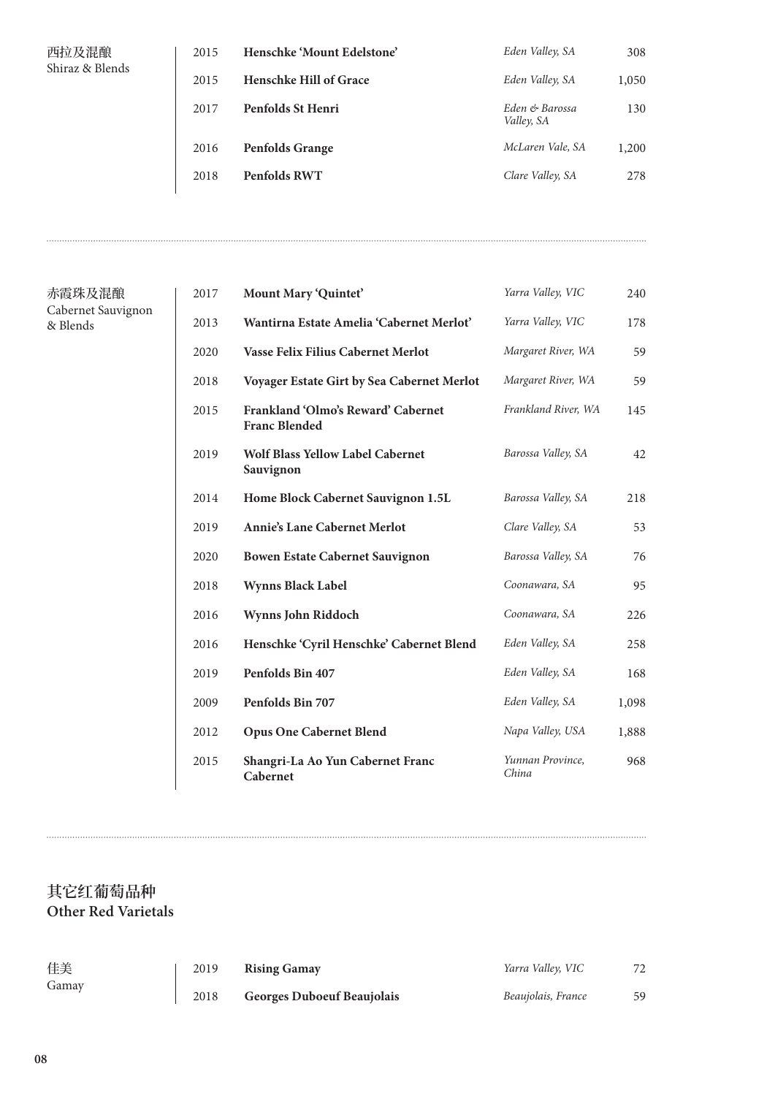| 西拉及混酿           |
|-----------------|
| Shiraz & Blends |

| 西拉及混酿<br>Shiraz & Blends | 2015 | Henschke 'Mount Edelstone'    | Eden Valley, SA              | 308   |
|--------------------------|------|-------------------------------|------------------------------|-------|
|                          | 2015 | <b>Henschke Hill of Grace</b> | Eden Valley, SA              | 1,050 |
|                          | 2017 | Penfolds St Henri             | Eden & Barossa<br>Valley, SA | 130   |
|                          | 2016 | <b>Penfolds Grange</b>        | McLaren Vale, SA             | 1,200 |
|                          | 2018 | Penfolds RWT                  | Clare Valley, SA             | 278   |

| 赤霞珠及混酿             |
|--------------------|
| Cabernet Sauvignon |
| & Blends           |

| 2017 | Mount Mary 'Quintet'                                       | Yarra Valley, VIC         | 240   |
|------|------------------------------------------------------------|---------------------------|-------|
| 2013 | Wantirna Estate Amelia 'Cabernet Merlot'                   | Yarra Valley, VIC         | 178   |
| 2020 | Vasse Felix Filius Cabernet Merlot                         | Margaret River, WA        | 59    |
| 2018 | Voyager Estate Girt by Sea Cabernet Merlot                 | Margaret River, WA        | 59    |
| 2015 | Frankland 'Olmo's Reward' Cabernet<br><b>Franc Blended</b> | Frankland River, WA       | 145   |
| 2019 | <b>Wolf Blass Yellow Label Cabernet</b><br>Sauvignon       | Barossa Valley, SA        | 42    |
| 2014 | Home Block Cabernet Sauvignon 1.5L                         | Barossa Valley, SA        | 218   |
| 2019 | <b>Annie's Lane Cabernet Merlot</b>                        | Clare Valley, SA          | 53    |
| 2020 | <b>Bowen Estate Cabernet Sauvignon</b>                     | Barossa Valley, SA        | 76    |
| 2018 | <b>Wynns Black Label</b>                                   | Coonawara, SA             | 95    |
| 2016 | Wynns John Riddoch                                         | Coonawara, SA             | 226   |
| 2016 | Henschke 'Cyril Henschke' Cabernet Blend                   | Eden Valley, SA           | 258   |
| 2019 | Penfolds Bin 407                                           | Eden Valley, SA           | 168   |
| 2009 | Penfolds Bin 707                                           | Eden Valley, SA           | 1,098 |
| 2012 | <b>Opus One Cabernet Blend</b>                             | Napa Valley, USA          | 1,888 |
| 2015 | Shangri-La Ao Yun Cabernet Franc<br>Cabernet               | Yunnan Province,<br>China | 968   |

## **其它红葡萄品种 Other Red Varietals**

| 佳美    | 2019 | <b>Rising Gamay</b>               | Yarra Valley, VIC  | 72 |
|-------|------|-----------------------------------|--------------------|----|
| Gamay | 2018 | <b>Georges Duboeuf Beaujolais</b> | Beaujolais, France | 59 |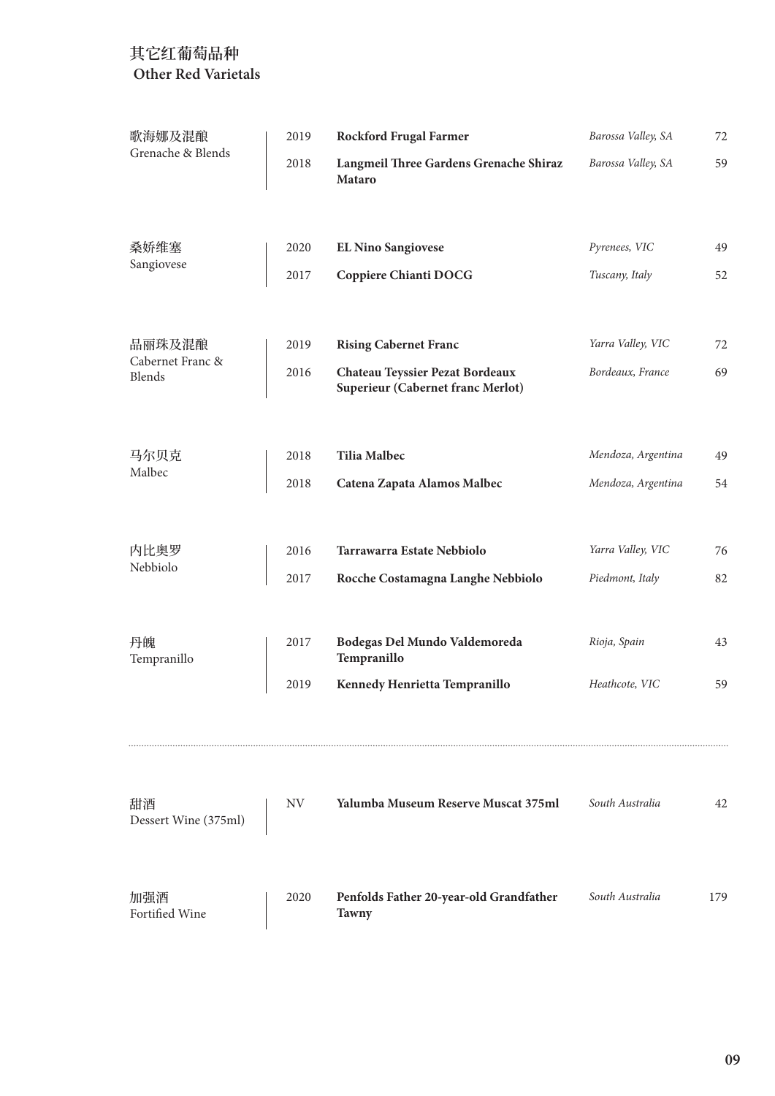| 歌海娜及混酿                     | 2019 | <b>Rockford Frugal Farmer</b>                                        | Barossa Valley, SA | 72  |
|----------------------------|------|----------------------------------------------------------------------|--------------------|-----|
| Grenache & Blends          | 2018 | Langmeil Three Gardens Grenache Shiraz<br>Mataro                     | Barossa Valley, SA | 59  |
| 桑娇维塞                       | 2020 | <b>EL Nino Sangiovese</b>                                            | Pyrenees, VIC      | 49  |
| Sangiovese                 | 2017 | <b>Coppiere Chianti DOCG</b>                                         | Tuscany, Italy     | 52  |
| 品丽珠及混酿                     | 2019 | <b>Rising Cabernet Franc</b>                                         | Yarra Valley, VIC  | 72  |
| Cabernet Franc &<br>Blends | 2016 | Chateau Teyssier Pezat Bordeaux<br>Superieur (Cabernet franc Merlot) | Bordeaux, France   | 69  |
| 马尔贝克                       | 2018 | <b>Tilia Malbec</b>                                                  | Mendoza, Argentina | 49  |
| Malbec                     | 2018 | Catena Zapata Alamos Malbec                                          | Mendoza, Argentina | 54  |
| 内比奥罗                       | 2016 | Tarrawarra Estate Nebbiolo                                           | Yarra Valley, VIC  | 76  |
| Nebbiolo                   | 2017 | Rocche Costamagna Langhe Nebbiolo                                    | Piedmont, Italy    | 82  |
| 丹魄<br>Tempranillo          | 2017 | Bodegas Del Mundo Valdemoreda<br>Tempranillo                         | Rioja, Spain       | 43  |
|                            | 2019 | Kennedy Henrietta Tempranillo                                        | Heathcote, VIC     | 59  |
| 甜酒<br>Dessert Wine (375ml) | NV.  | Yalumba Museum Reserve Muscat 375ml                                  | South Australia    | 42  |
| 加强酒<br>Fortified Wine      | 2020 | Penfolds Father 20-year-old Grandfather<br><b>Tawny</b>              | South Australia    | 179 |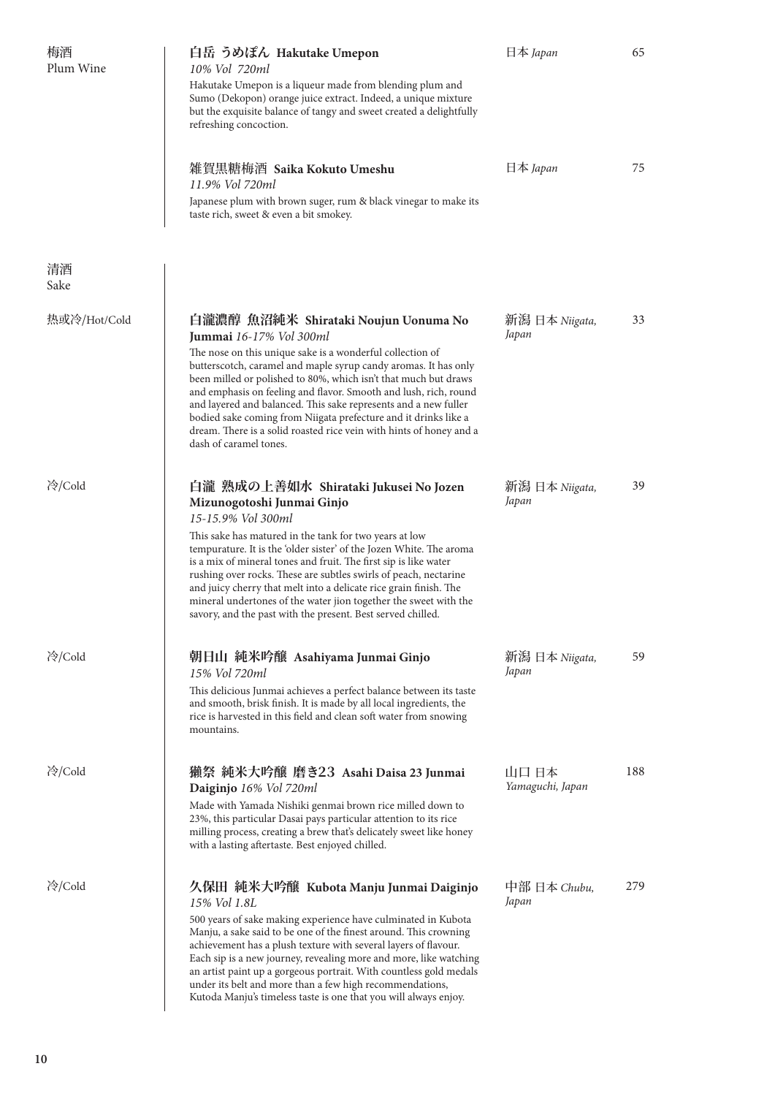| 梅酒<br>Plum Wine | 白岳 うめぽん Hakutake Umepon<br>10% Vol 720ml<br>Hakutake Umepon is a liqueur made from blending plum and<br>Sumo (Dekopon) orange juice extract. Indeed, a unique mixture<br>but the exquisite balance of tangy and sweet created a delightfully<br>refreshing concoction.                                                                                                                                                                                                                                                                                                        | 日本 <i>Japan</i>           | 65  |
|-----------------|-------------------------------------------------------------------------------------------------------------------------------------------------------------------------------------------------------------------------------------------------------------------------------------------------------------------------------------------------------------------------------------------------------------------------------------------------------------------------------------------------------------------------------------------------------------------------------|---------------------------|-----|
|                 | 雑賀黒糖梅酒 Saika Kokuto Umeshu<br>11.9% Vol 720ml<br>Japanese plum with brown suger, rum & black vinegar to make its<br>taste rich, sweet & even a bit smokey.                                                                                                                                                                                                                                                                                                                                                                                                                    | 日本 <i>Japan</i>           | 75  |
| 清酒<br>Sake      |                                                                                                                                                                                                                                                                                                                                                                                                                                                                                                                                                                               |                           |     |
| 热或冷/Hot/Cold    | 白瀧濃醇 魚沼純米 Shirataki Noujun Uonuma No<br>Jummai 16-17% Vol 300ml<br>The nose on this unique sake is a wonderful collection of<br>butterscotch, caramel and maple syrup candy aromas. It has only<br>been milled or polished to 80%, which isn't that much but draws<br>and emphasis on feeling and flavor. Smooth and lush, rich, round<br>and layered and balanced. This sake represents and a new fuller<br>bodied sake coming from Niigata prefecture and it drinks like a<br>dream. There is a solid roasted rice vein with hints of honey and a<br>dash of caramel tones. | 新潟 日本 Niigata,<br>Japan   | 33  |
| 冷/Cold          | 白瀧 熟成の上善如水 Shirataki Jukusei No Jozen<br>Mizunogotoshi Junmai Ginjo<br>15-15.9% Vol 300ml<br>This sake has matured in the tank for two years at low<br>tempurature. It is the 'older sister' of the Jozen White. The aroma<br>is a mix of mineral tones and fruit. The first sip is like water<br>rushing over rocks. These are subtles swirls of peach, nectarine<br>and juicy cherry that melt into a delicate rice grain finish. The<br>mineral undertones of the water jion together the sweet with the<br>savory, and the past with the present. Best served chilled.    | 新潟 日本 Niigata,<br>Japan   | 39  |
| 冷/Cold          | 朝日山 純米吟醸 Asahiyama Junmai Ginjo<br>15% Vol 720ml<br>This delicious Junmai achieves a perfect balance between its taste<br>and smooth, brisk finish. It is made by all local ingredients, the<br>rice is harvested in this field and clean soft water from snowing<br>mountains.                                                                                                                                                                                                                                                                                               | 新潟 日本 Niigata,<br>Japan   | 59  |
| 冷/Cold          | 獺祭 純米大吟醸 磨き23 Asahi Daisa 23 Junmai<br>Daiginjo 16% Vol 720ml<br>Made with Yamada Nishiki genmai brown rice milled down to<br>23%, this particular Dasai pays particular attention to its rice<br>milling process, creating a brew that's delicately sweet like honey<br>with a lasting aftertaste. Best enjoyed chilled.                                                                                                                                                                                                                                                     | 山口 日本<br>Yamaguchi, Japan | 188 |
| 冷/Cold          | 久保田 純米大吟醸 Kubota Manju Junmai Daiginjo<br>15% Vol 1.8L<br>500 years of sake making experience have culminated in Kubota<br>Manju, a sake said to be one of the finest around. This crowning<br>achievement has a plush texture with several layers of flavour.<br>Each sip is a new journey, revealing more and more, like watching<br>an artist paint up a gorgeous portrait. With countless gold medals<br>under its belt and more than a few high recommendations,<br>Kutoda Manju's timeless taste is one that you will always enjoy.                                     | 中部 日本 Chubu,<br>Japan     | 279 |